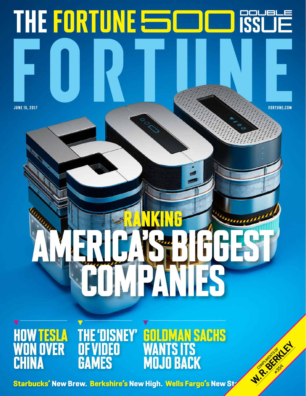## THE FORTUNE **SOME** june 15, 2017 fortune.com Ranking America's biggest companies Goldman Sachs 'DISNEY' |<br>'IDEO TESLA of Video **W. R. BERKLAY** WANTS ITS **OVER** Complete River **CHINA GAMES** Mojo Back

**Starbucks' New Brew. Berkshire's New High. Wells Fargo's New Strate.**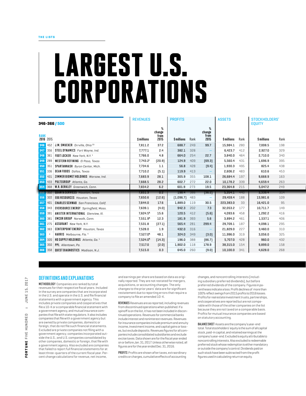# LARGEST U.S. CORPORATIONS

|             |                                                                             | <b>REVENUES</b>      |              | <b>PROFITS</b>   |              | <b>ASSETS</b>       | STOCKHOLDERS'<br><b>EQUITY</b> |      |
|-------------|-----------------------------------------------------------------------------|----------------------|--------------|------------------|--------------|---------------------|--------------------------------|------|
|             | 346-366 / 500                                                               |                      |              |                  |              |                     |                                |      |
| <b>RANK</b> |                                                                             |                      | change       |                  | change       |                     |                                |      |
|             | 2016 2015                                                                   | \$ millions          | from<br>2015 | \$ millions Rank | from<br>2015 | \$ millions<br>Rank | \$ millions                    | Rank |
|             | 346 452 J.M. SMUCKER Orrville, Ohio <sup>33</sup>                           | 7,811.2              | 37.2         | 688.7<br>249     | 99.7         | 15,984.1 280        | 7,008.5                        | 198  |
|             | 347 356 STEEL DYNAMICS Fort Wayne, Ind.                                     | 7,777.1              | 2.4          | 382.1 328        |              | 6,423.7<br>412      | 2,927.0                        | 329  |
|             | <b>348</b> 361 <b>FOOT LOCKER</b> New York, N.Y. <sup>1</sup>               | 7,766.0              | 4.8          | 254<br>664.0     | 22.7         | 3,840.0 464         | 2,710.0                        | 340  |
|             | 349 289 WESTERN REFINING El Paso, Texas                                     | 7,743.2 <sup>E</sup> | [20.9]       | 124.9 409        | [69.3]       | 5,560.4 431         | 1,696.9                        | 395  |
|             | 350 351 SPARTANNASH Byron Center, Mich.                                     | 7,734.6              | 1.1          | 56.8<br>428      | [9.4]        | 1,930.3 495         | 825.4                          | 438  |
|             | 351 336 DEAN FOODS Dallas, Texas                                            | 7,710.2              | [5.1]        | 119.9 413        |              | 2,606.2 483         | 610.6                          | 453  |
|             | 352 431 ZIMMER BIOMET HOLDINGS Warsaw. Ind.                                 | 7,683.9              | 28.1         | 355<br>305.9     | 108.1        | 26,684.4<br>197     | 9,668.9                        | 163  |
|             | 353 433 PULTEGROUP Atlanta, Ga.                                             | 7,668.5              | 28.2         | 602.7 272        | 22.0         | 10,178.2 339        | 4,659.4                        | 263  |
|             | 354 368 W.R. BERKLEY Greenwich, Conn.                                       | 7,654.2              | 6.2          | 601.9 273        | 19.5         | 23,364.8 215        | 5,047.2                        | 249  |
|             | 355 352 JUANTA SERVICES Houston, Texas                                      | 7,651.3              | $0.2 -$      | 198.4 366        | [36.2]       | $5,354.1$ 440       | 3,339.4                        | 314  |
|             | 356 322   EDG RESOURCES Houston, Texas                                      | 7,650.6              | [12.6]       | $[1,096.7]$ 483  |              | 29,459.4 188        | 13,981.6                       | 109  |
|             | 857 401 CHARLES SCHWAB San Francisco, Calif.                                | 7,644.0              | 17.6         | 1,889.0 119      | 30.5         | 223,383.0<br>-33    | 16,421.0                       | 95   |
|             | 358 343 EVERSOURCE ENERGY Springfield, Mass.                                | 7,639.1              | (4.0)        | 942.3 202        | 7.3          | 32,053.2 177        | 10,711.7                       | 149  |
|             | <b>359 391 ANIXTER INTERNATIONAL</b> Glenview, III.                         | 7,624.51             | 15.6         | 120.5 412        | [5.6]        | 4,093.6 458         | 1,292.2                        | 416  |
|             | 360 381 EMCOR GROUP Norwalk, Conn.                                          | 7,551.91             | 12.3         | 181.9 393        | 5.6          | 3,894.2 461         | 1,537.1                        | 406  |
|             | <b>361 275 ASSURANT</b> New York, N.Y.                                      | 7,531.8              | [27.1]       | 281<br>565.4     | 299.4        | 29,709.1<br>187     | 4,098.1                        | 295  |
|             | <b>362</b> 363 CENTERPOINT ENERGY Houston, Texas                            | 7,528.0              | 1.9          | 432.0 316        |              | 21,829.0<br>227     | 3,460.0                        | 310  |
| 363         | HARRIS Melbourne, Fla. <sup>4</sup>                                         | 7,527.01             | 48.1         | 324.0 349        | [3.0]        | 11,996.0 319        | 3,056.0                        | 325  |
| 364         | $\blacksquare$ 320 $\blacksquare$ HD SUPPLY HOLDINGS $\,$ Atlanta. Ga. $^1$ | 7,524.01             | [14.3]       | 388<br>196.0     | [86.7]       | 5,707.0 428         | 960.0                          | 432  |
|             | <b>365</b> 350 <b>PPL</b> Allentown, Pa.                                    | 7,517.0              | [2.0]        | 1,902.0<br>118   | 178.9        | 38,315.0<br>154     | 9,899.0                        | 158  |
|             |                                                                             |                      |              |                  |              |                     |                                |      |

### DEFINITIONS AND EXPLANATIONS

METHODOLOGY Companies are ranked by total revenues for their respective fiscal years. Included in the survey are companies that are incorporated in the U.S. and operate in the U.S. and file financial statements with a government agency. This includes private companies and cooperatives that file a 10-K or a comparable financial statement with a government agency, and mutual insurance companies that file with state regulators. It also includes companies that file with a government agency but are owned by private companies, domestic or foreign, that do not file such financial statements. Excluded are private companies not filing with a government agency; companies incorporated outside the U.S.; and U.S. companies consolidated by other companies, domestic or foreign, that file with a government agency. Also excluded are companies that failed to report full financial statements for at least three-quarters of the current fiscal year. Percent change calculations for revenue, net income,

and earnings per share are based on data as originally reported. They are not restated for mergers, acquisitions, or accounting changes. The only changes to the prior years' data are for significant restatement due to reporting errors that require a company to file an amended  $10$ -K.

Revenues Revenues are as reported, including revenues from discontinued operations when published. If a spinoff is on the list, it has not been included in discontinued operations. Revenues for commercial banks include interest and noninterest revenues. Revenues for insurance companies include premium and annuity income, investment income, and capital gains or losses, but exclude deposits. Revenues figures for all companies include consolidated subsidiaries and exclude excise taxes. Data shown are for the fiscal year ended on or before Jan. 31, 2017. Unless otherwise noted, all figures are for the year ended Dec. 31, 2016.

PROFITS Profits are shown after taxes, extraordinary credits or charges, cumulative effects of accounting

changes, and noncontrolling interests (including subsidiary preferred dividends), but before preferred dividends of the company. Figures in parentheses indicate a loss. Profit declines of more than 100% reflect swings from 2015 profits to 2016 losses. Profits for real estate investment trusts, partnerships, and cooperatives are reported but are not comparable with those of the other companies on the list because they are not taxed on a comparable basis. Profits for mutual insurance companies are based on statutory accounting.

BALANCE SHEET Assets are the company's year-end total. Total stockholders' equity is the sum of all capital stock, paid-in capital, and retained earnings at the company's year-end. Excluded is equity attributable to noncontrolling interests. Also excluded is redeemable preferred stock whose redemption is either mandatory or outside the company's control. Dividends paid on such stock have been subtracted from the profit figures used in calculating return on equity.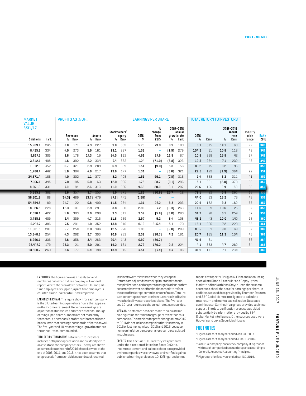| <b>MARKET</b><br><b>VALUE</b> |                     | <b>PROFITS AS % OF </b> |                  |                  | <b>EARNINGS PER SHARE</b> |                          |                             | <b>TOTAL RETURN TO INVESTORS</b> |           |             |                     |                                         |
|-------------------------------|---------------------|-------------------------|------------------|------------------|---------------------------|--------------------------|-----------------------------|----------------------------------|-----------|-------------|---------------------|-----------------------------------------|
| 3/31/17                       |                     |                         |                  | Stockholders'    |                           | change                   | 2006-2016<br>annual         |                                  |           |             | 2006-2016<br>annual | Industry                                |
|                               | \$ millions<br>Rank | Revenues<br>% Rank      | Assets<br>% Rank | equity<br>% Rank | 2016                      | from<br>2015             | growth rate<br>Rank<br>$\%$ | 2016                             | % Rank    |             | rate<br>Rank        | table<br><b>RANK<br/>2016</b><br>number |
|                               | 15,263.1 245        | 8.8 171                 | 4.3 227          | 9.8 302          | 5.76                      | 73.0                     | 100<br>8.9                  | 6.1                              | 315       | 14.1        | 63                  | 346<br>22                               |
|                               | 8,425.2 334         | 4.9 273                 | 5.9 161          | 13.1 227         | 1.56                      |                          | $[1.9]$ 279                 | 104.2                            | 11        | 10.8        | 118                 | 42<br>347                               |
|                               | 9,817.5 305         | 8.6 178                 | 17.3<br>19       | 24.5 112         | 4.91                      | 27.9                     | 11.9<br>67                  | 10.8                             | 268       | 15.8        | 42                  | 57<br>348                               |
|                               | 3,812.1 408         | $1.6$ 392               | 2.2 334          | 7.4 352          | 1.24                      | [71.0]                   | $[8.8]$ 323                 | 12.5                             | 254       | 7.1         | 232                 | 48                                      |
|                               | 1,312.8 452         | $0.7$ 421               | 2.9 289          | 6.9 359          | 1.51                      | [9.0]                    | 5.8 156                     | 86.2                             | 15        | 8.2         | 195                 | 68                                      |
|                               | 1,786.4 442         | 1.6 394                 | 4.6 217          | 19.6 147         | 1.31                      | $\overline{\phantom{0}}$ | $[8.6]$ 321                 |                                  | 29.5 122  | [1.9]       | 364                 | 22                                      |
|                               | 24,571.4 186        | $4.0$ 302               | 1.1 377          | 3.2 405          | 1.51                      | 96.1                     | $[7.8]$ 316                 |                                  | 1.4 358   | 3.2         | 311                 | 41<br>352                               |
|                               | 7,466.1 345         | $7.9$ 195               | 5.9 163          | 12.9 235         | 1.75                      | 28.7                     | $[4.1]$ 296                 |                                  | $5.1$ 321 | $[5.0]$ 379 |                     | 30<br>353                               |
|                               | 8,561.3 331         | 7.9 194                 | $2.6$ 313        | 11.9 255         | 4.68                      | 20.9                     | $3.1$ 207                   |                                  | 24.6 156  | 8.4 189     |                     | 38                                      |
|                               |                     |                         |                  |                  |                           |                          |                             |                                  |           |             |                     |                                         |
|                               | $5,385.9$ $382$     | $2.6 \t357$             | $3.7$ 255        | $5.9$ 371        | 1.26                      |                          | $[20.8]$ 23.7 12            |                                  | 72.1 22   | $5.9$ $261$ |                     |                                         |
|                               | 56,301.9<br>88      | $[14.3]$ 489            | $[3.7]$ 479      | $[7.8]$ 441      | [1.98]                    |                          | $\sim$                      | 44.0                             | 53        | 13.2        | 76                  | 43                                      |
|                               | 54,554.5<br>89      | 22<br>24.7              | $0.8$ 400        | 11.5 264         | 1.31                      | 27.2                     | 3.3 203                     | 20.9                             | 182       | 9.3         | 162                 | 55                                      |
|                               | 18,626.5 228        | 12.3 101                | 2.9 291          | 8.8 320          | 2.96                      | 7.2                      | $[0.3]$ 263                 | 11.6                             | 259       | 10.6        | 125                 | 64                                      |
|                               | 2,626.1 422         | $1.6$ 393               | 2.9 290          | $9.3$ $311$      | 3.59                      | [5.8]                    | [3.0]<br>290                | 34.2                             | 98        | 6.1         | 259                 | 67                                      |
|                               | 3,755.6 409         | 2.4 359                 | 4.7 215          | 11.8 259         | 2.97                      | 9.2                      | 8.4 108                     | 48.2                             | 43        | 10.0        | 140                 | $18 - 355$<br>35<br>18                  |
|                               | 5,297.7 386         | 7.5 201                 | 1.9 352          | 13.8 216         | 9.13                      | 345.4                    | $5.1 \t170$                 | 18.1                             | 205       | 7.2         | 229                 | 38                                      |
|                               | 11,881.5 281        | 5.7 254                 | $2.0$ 346        | 12.5 246         | 1.00                      |                          | $[2.8]$ 289                 | 40.5                             | 63        | 9.0         | 169                 | 64                                      |
|                               | 13,848.8 254        | 4.3 292                 | 2.7 303          | 10.6 282         | 2.59                      | [16.7]                   | 4.2 191                     | 20.7                             | 185       | 11.3 104    |                     | 45                                      |
|                               | 8,296.1 336         | $2.6$ 356               | 3.4 263          | 20.4 143         | 0.97                      | [86.7]                   | $\sim$                      | 41.6                             | 61        | $\sim$      |                     | 66                                      |
|                               | 25,447.7 179        | 21<br>25.3              | $5.0$ 201        | 19.2 151         | 2.79                      | 176.2                    | 2.2 224                     | 4.1                              | 333       | 4.7         | 282                 | 64                                      |

Employees The figure shown is a fiscal year-end number as published by the company in its annual report. Where the breakdown between full- and parttime employees is supplied, a part-time employee is counted as one-half of a full-time employee.

MARKET

EARNINGS PER SHARE The figure shown for each company is the diluted earnings-per-share figure that appears on the income statement. Per-share earnings are adjusted for stock splits and stock dividends. Though earnings-per-share numbers are not marked by footnotes, if a company's profits are footnoted it can be assumed that earnings per share is affected as well. The five-year and 10-year earnings-growth rates are the annual rates, compounded.

Total Return to Investors Total return to investors includes both price appreciation and dividend yield to an investor in the company's stock. The figures shown assume sales at the end of 2016 of stock owned at the end of 2006, 2011, and2015. It has been assumed that any proceeds from cash dividends and stock received

in spinoffs were reinvested when they were paid. Returns are adjusted for stock splits, stock dividends, recapitalizations, and corporate reorganizations as they occurred; however, no effort has been made to reflect the cost of brokerage commissions or of taxes. Total-return percentages shown are the returns received by the hypothetical investor described above. The five-year and 10-year returns are the annual rates, compounded.

Medians No attempt has been made to calculate median figures in the tables for groups of fewer than four companies. The medians for profit changes from 2015 to 2016 do not include companies that lost money in 2015 or lost money in both 2015 and 2016, because no meaningful percentage changes can be calculated in such cases.

Credits This *Fortune* 500 Directory was prepared under the direction of list editor Scott DeCarlo. Income statement and balance sheet data provided by the companies were reviewed and verified against published earnings releases, 10-K filings, and annual reports by reporter Douglas G. Elam and accounting specialists Rhona Altschuler and Cappy Lyons. Markets editor Kathleen Smyth used those same sources to check the data for earnings per share. In addition, we used data provided by Thomson Reuters and S&P Global Market Intelligence to calculate total return and market capitalization. Database administrator Santhosh Varghese provided technical support. The data verification process was aided substantially by information provided by S&P Global Market Intelligence. Other sources used were Hoover's and Lexis Securities Mosaic.

### FOOTNOTES

- <sup>1</sup> Figures are for fiscal year ended Jan. 31, 2017.
- <sup>4</sup> Figures are for fiscal year ended June 30, 2016.
- <sup>15</sup> A mutual company, not a stock company. It is grouped with stock companies because it reports according to Generally Accepted Accounting Principles.
- <sup>33</sup> Figures are for fiscal year ended April 30, 2016.